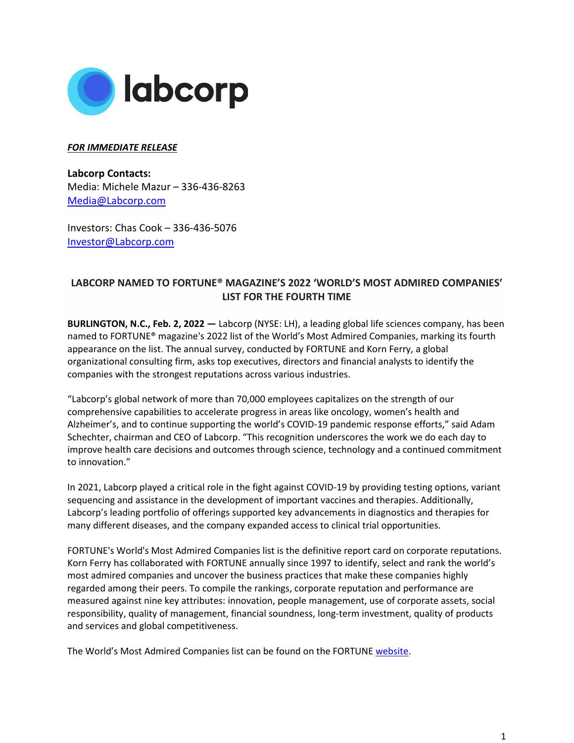

## *FOR IMMEDIATE RELEASE*

**Labcorp Contacts:**  Media: Michele Mazur – 336-436-8263 [Media@Labcorp.com](mailto:Media@Labcorp.com)

Investors: Chas Cook – 336-436-5076 [Investor@Labcorp.com](mailto:Investor@Labcorp.com)

## **LABCORP NAMED TO FORTUNE® MAGAZINE'S 2022 'WORLD'S MOST ADMIRED COMPANIES' LIST FOR THE FOURTH TIME**

**BURLINGTON, N.C., Feb. 2, 2022 —** Labcorp (NYSE: LH), a leading global life sciences company, has been named to FORTUNE® magazine's 2022 list of the World's Most Admired Companies, marking its fourth appearance on the list. The annual survey, conducted by FORTUNE and Korn Ferry, a global organizational consulting firm, asks top executives, directors and financial analysts to identify the companies with the strongest reputations across various industries.

"Labcorp's global network of more than 70,000 employees capitalizes on the strength of our comprehensive capabilities to accelerate progress in areas like oncology, women's health and Alzheimer's, and to continue supporting the world's COVID-19 pandemic response efforts," said Adam Schechter, chairman and CEO of Labcorp. "This recognition underscores the work we do each day to improve health care decisions and outcomes through science, technology and a continued commitment to innovation."

In 2021, Labcorp played a critical role in the fight against COVID-19 by providing testing options, variant sequencing and assistance in the development of important vaccines and therapies. Additionally, Labcorp's leading portfolio of offerings supported key advancements in diagnostics and therapies for many different diseases, and the company expanded access to clinical trial opportunities.

FORTUNE's World's Most Admired Companies list is the definitive report card on corporate reputations. Korn Ferry has collaborated with FORTUNE annually since 1997 to identify, select and rank the world's most admired companies and uncover the business practices that make these companies highly regarded among their peers. To compile the rankings, corporate reputation and performance are measured against nine key attributes: innovation, people management, use of corporate assets, social responsibility, quality of management, financial soundness, long-term investment, quality of products and services and global competitiveness.

The World's Most Admired Companies list can be found on the FORTUN[E website.](https://fortune.com/worlds-most-admired-companies/)